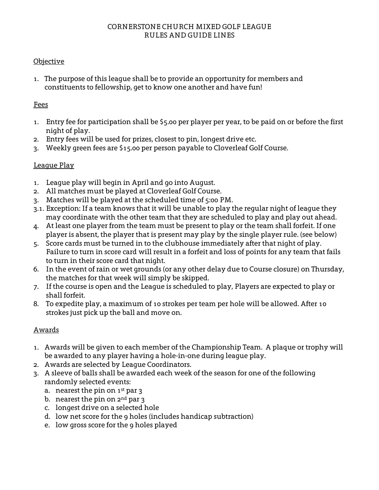#### CORNERSTONE CHURCH MIXED GOLF LEAGUE RULES AND GUIDE LINES

### Objective

1. The purpose of this league shall be to provide an opportunity for members and constituents to fellowship, get to know one another and have fun!

#### Fees

- 1. Entry fee for participation shall be \$5.00 per player per year, to be paid on or before the first night of play.
- 2. Entry fees will be used for prizes, closest to pin, longest drive etc.
- 3. Weekly green fees are \$15.00 per person payable to Cloverleaf Golf Course.

### League Play

- 1. League play will begin in April and go into August.
- 2. All matches must be played at Cloverleaf Golf Course.
- 3. Matches will be played at the scheduled time of 5:00 PM.
- 3.1. Exception: If a team knows that it will be unable to play the regular night of league they may coordinate with the other team that they are scheduled to play and play out ahead.
- 4. At least one player from the team must be present to play or the team shall forfeit. If one player is absent, the player that is present may play by the single player rule. (see below)
- 5. Score cards must be turned in to the clubhouse immediately after that night of play. Failure to turn in score card will result in a forfeit and loss of points for any team that fails to turn in their score card that night.
- 6. In the event of rain or wet grounds (or any other delay due to Course closure) on Thursday, the matches for that week will simply be skipped.
- 7. If the course is open and the League is scheduled to play, Players are expected to play or shall forfeit.
- 8. To expedite play, a maximum of 10 strokes per team per hole will be allowed. After 10 strokes just pick up the ball and move on.

### Awards

- 1. Awards will be given to each member of the Championship Team. A plaque or trophy will be awarded to any player having a hole-in-one during league play.
- 2. Awards are selected by League Coordinators.
- 3. A sleeve of balls shall be awarded each week of the season for one of the following randomly selected events:
	- a. nearest the pin on  $1^{st}$  par 3
	- b. nearest the pin on  $2^{nd}$  par  $3$
	- c. longest drive on a selected hole
	- d. low net score for the 9 holes (includes handicap subtraction)
	- e. low gross score for the 9 holes played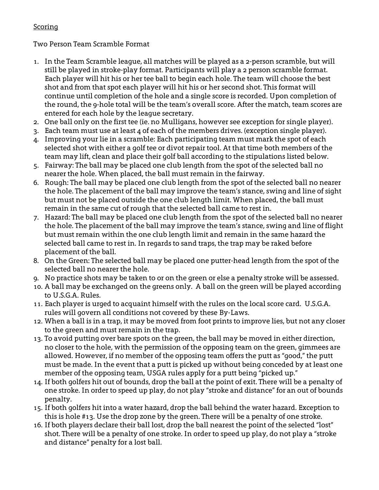## **Scoring**

# Two Person Team Scramble Format

- 1. In the Team Scramble league, all matches will be played as a 2-person scramble, but will still be played in stroke-play format. Participants will play a 2 person scramble format. Each player will hit his or her tee ball to begin each hole. The team will choose the best shot and from that spot each player will hit his or her second shot. This format will continue until completion of the hole and a single score is recorded. Upon completion of the round, the 9-hole total will be the team's overall score. After the match, team scores are entered for each hole by the league secretary.
- 2. One ball only on the first tee (ie. no Mulligans, however see exception for single player).
- 3. Each team must use at least 4 of each of the members drives. (exception single player).
- 4. Improving your lie in a scramble: Each participating team must mark the spot of each selected shot with either a golf tee or divot repair tool. At that time both members of the team may lift, clean and place their golf ball according to the stipulations listed below.
- 5. Fairway: The ball may be placed one club length from the spot of the selected ball no nearer the hole. When placed, the ball must remain in the fairway.
- 6. Rough: The ball may be placed one club length from the spot of the selected ball no nearer the hole. The placement of the ball may improve the team's stance, swing and line of sight but must not be placed outside the one club length limit. When placed, the ball must remain in the same cut of rough that the selected ball came to rest in.
- 7. Hazard: The ball may be placed one club length from the spot of the selected ball no nearer the hole. The placement of the ball may improve the team's stance, swing and line of flight but must remain within the one club length limit and remain in the same hazard the selected ball came to rest in. In regards to sand traps, the trap may be raked before placement of the ball.
- 8. On the Green: The selected ball may be placed one putter-head length from the spot of the selected ball no nearer the hole.
- 9. No practice shots may be taken to or on the green or else a penalty stroke will be assessed.
- 10. A ball may be exchanged on the greens only. A ball on the green will be played according to U.S.G.A. Rules.
- 11. Each player is urged to acquaint himself with the rules on the local score card. U.S.G.A. rules will govern all conditions not covered by these By-Laws.
- 12. When a ball is in a trap, it may be moved from foot prints to improve lies, but not any closer to the green and must remain in the trap.
- 13. To avoid putting over bare spots on the green, the ball may be moved in either direction, no closer to the hole, with the permission of the opposing team on the green, gimmees are allowed. However, if no member of the opposing team offers the putt as "good," the putt must be made. In the event that a putt is picked up without being conceded by at least one member of the opposing team, USGA rules apply for a putt being "picked up."
- 14. If both golfers hit out of bounds, drop the ball at the point of exit. There will be a penalty of one stroke. In order to speed up play, do not play "stroke and distance" for an out of bounds penalty.
- 15. If both golfers hit into a water hazard, drop the ball behind the water hazard. Exception to this is hole #13. Use the drop zone by the green. There will be a penalty of one stroke.
- 16. If both players declare their ball lost, drop the ball nearest the point of the selected "lost" shot. There will be a penalty of one stroke. In order to speed up play, do not play a "stroke and distance" penalty for a lost ball.